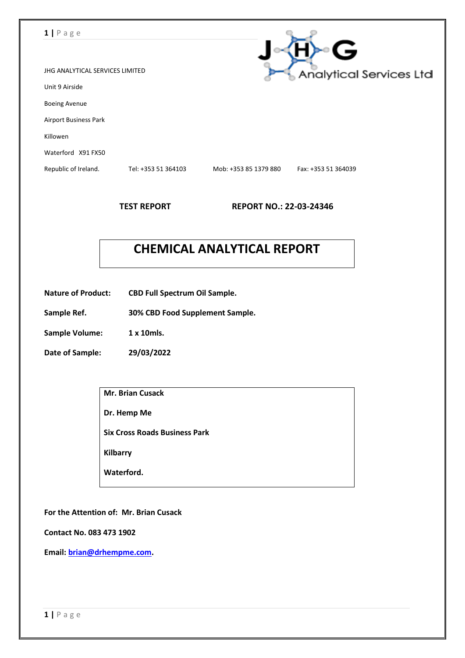### **1 |** P a g e

|                                 |                     |                       | ς                              |
|---------------------------------|---------------------|-----------------------|--------------------------------|
| JHG ANALYTICAL SERVICES LIMITED |                     |                       | <b>Analytical Services Ltd</b> |
| Unit 9 Airside                  |                     |                       |                                |
| <b>Boeing Avenue</b>            |                     |                       |                                |
| <b>Airport Business Park</b>    |                     |                       |                                |
| Killowen                        |                     |                       |                                |
| Waterford X91 FX50              |                     |                       |                                |
| Republic of Ireland.            | Tel: +353 51 364103 | Mob: +353 85 1379 880 | Fax: +353 51 364039            |
|                                 |                     |                       |                                |

**TEST REPORT REPORT NO.: 22-03-24346**

 $\sim$ 

# **CHEMICAL ANALYTICAL REPORT**

- **Nature of Product: CBD Full Spectrum Oil Sample.**
- **Sample Ref. 30% CBD Food Supplement Sample.**
- **Sample Volume: 1 x 10mls.**
- **Date of Sample: 29/03/2022**

| <b>Mr. Brian Cusack</b>              |
|--------------------------------------|
| Dr. Hemp Me                          |
| <b>Six Cross Roads Business Park</b> |
| <b>Kilbarry</b>                      |
| Waterford.                           |
|                                      |

**For the Attention of: Mr. Brian Cusack**

**Contact No. 083 473 1902**

**Email: [brian@drhempme.com.](mailto:brian@drhempme.com)**